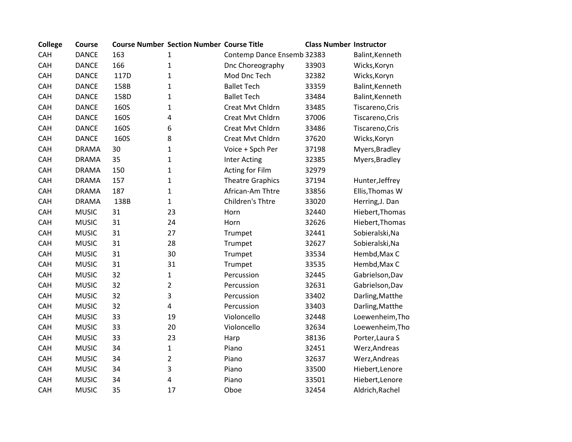| <b>College</b> | Course       |      | <b>Course Number Section Number Course Title</b> |                            | <b>Class Number Instructor</b> |                 |
|----------------|--------------|------|--------------------------------------------------|----------------------------|--------------------------------|-----------------|
| CAH            | <b>DANCE</b> | 163  | 1                                                | Contemp Dance Ensemb 32383 |                                | Balint, Kenneth |
| CAH            | <b>DANCE</b> | 166  | $\mathbf{1}$                                     | Dnc Choreography           | 33903                          | Wicks, Koryn    |
| CAH            | <b>DANCE</b> | 117D | 1                                                | Mod Dnc Tech               | 32382                          | Wicks, Koryn    |
| CAH            | <b>DANCE</b> | 158B | 1                                                | <b>Ballet Tech</b>         | 33359                          | Balint, Kenneth |
| CAH            | <b>DANCE</b> | 158D | 1                                                | <b>Ballet Tech</b>         | 33484                          | Balint, Kenneth |
| CAH            | <b>DANCE</b> | 160S | 1                                                | Creat Mvt Chldrn           | 33485                          | Tiscareno, Cris |
| CAH            | <b>DANCE</b> | 160S | 4                                                | Creat Mvt Chldrn           | 37006                          | Tiscareno, Cris |
| CAH            | <b>DANCE</b> | 160S | 6                                                | Creat Mvt Chldrn           | 33486                          | Tiscareno, Cris |
| CAH            | <b>DANCE</b> | 160S | 8                                                | Creat Mvt Chldrn           | 37620                          | Wicks, Koryn    |
| CAH            | <b>DRAMA</b> | 30   | 1                                                | Voice + Spch Per           | 37198                          | Myers, Bradley  |
| CAH            | <b>DRAMA</b> | 35   | 1                                                | <b>Inter Acting</b>        | 32385                          | Myers, Bradley  |
| CAH            | <b>DRAMA</b> | 150  | $\mathbf 1$                                      | <b>Acting for Film</b>     | 32979                          |                 |
| CAH            | <b>DRAMA</b> | 157  | $\mathbf 1$                                      | <b>Theatre Graphics</b>    | 37194                          | Hunter, Jeffrey |
| CAH            | <b>DRAMA</b> | 187  | $\mathbf 1$                                      | African-Am Thtre           | 33856                          | Ellis, Thomas W |
| CAH            | <b>DRAMA</b> | 138B | $\mathbf{1}$                                     | Children's Thtre           | 33020                          | Herring, J. Dan |
| CAH            | <b>MUSIC</b> | 31   | 23                                               | Horn                       | 32440                          | Hiebert, Thomas |
| CAH            | <b>MUSIC</b> | 31   | 24                                               | Horn                       | 32626                          | Hiebert, Thomas |
| CAH            | <b>MUSIC</b> | 31   | 27                                               | Trumpet                    | 32441                          | Sobieralski, Na |
| CAH            | <b>MUSIC</b> | 31   | 28                                               | Trumpet                    | 32627                          | Sobieralski, Na |
| CAH            | <b>MUSIC</b> | 31   | 30                                               | Trumpet                    | 33534                          | Hembd, Max C    |
| CAH            | <b>MUSIC</b> | 31   | 31                                               | Trumpet                    | 33535                          | Hembd, Max C    |
| CAH            | <b>MUSIC</b> | 32   | $\mathbf 1$                                      | Percussion                 | 32445                          | Gabrielson, Dav |
| CAH            | <b>MUSIC</b> | 32   | $\overline{2}$                                   | Percussion                 | 32631                          | Gabrielson, Dav |
| <b>CAH</b>     | <b>MUSIC</b> | 32   | 3                                                | Percussion                 | 33402                          | Darling, Matthe |
| CAH            | <b>MUSIC</b> | 32   | 4                                                | Percussion                 | 33403                          | Darling, Matthe |
| CAH            | <b>MUSIC</b> | 33   | 19                                               | Violoncello                | 32448                          | Loewenheim, Tho |
| CAH            | <b>MUSIC</b> | 33   | 20                                               | Violoncello                | 32634                          | Loewenheim, Tho |
| CAH            | <b>MUSIC</b> | 33   | 23                                               | Harp                       | 38136                          | Porter, Laura S |
| CAH            | <b>MUSIC</b> | 34   | 1                                                | Piano                      | 32451                          | Werz, Andreas   |
| CAH            | <b>MUSIC</b> | 34   | $\overline{2}$                                   | Piano                      | 32637                          | Werz, Andreas   |
| CAH            | <b>MUSIC</b> | 34   | 3                                                | Piano                      | 33500                          | Hiebert, Lenore |
| CAH            | <b>MUSIC</b> | 34   | 4                                                | Piano                      | 33501                          | Hiebert, Lenore |
| CAH            | <b>MUSIC</b> | 35   | 17                                               | Oboe                       | 32454                          | Aldrich, Rachel |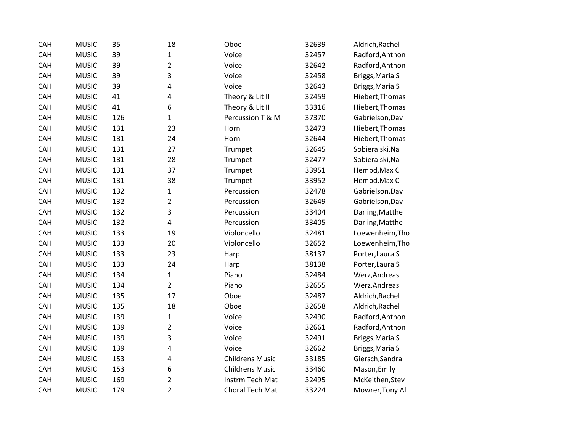| CAH        | <b>MUSIC</b> | 35  | 18             | Oboe                   | 32639 | Aldrich, Rachel |
|------------|--------------|-----|----------------|------------------------|-------|-----------------|
| CAH        | <b>MUSIC</b> | 39  | 1              | Voice                  | 32457 | Radford, Anthon |
| CAH        | <b>MUSIC</b> | 39  | $\overline{2}$ | Voice                  | 32642 | Radford, Anthon |
| CAH        | <b>MUSIC</b> | 39  | 3              | Voice                  | 32458 | Briggs, Maria S |
| CAH        | <b>MUSIC</b> | 39  | 4              | Voice                  | 32643 | Briggs, Maria S |
| CAH        | <b>MUSIC</b> | 41  | 4              | Theory & Lit II        | 32459 | Hiebert, Thomas |
| CAH        | <b>MUSIC</b> | 41  | 6              | Theory & Lit II        | 33316 | Hiebert, Thomas |
| <b>CAH</b> | <b>MUSIC</b> | 126 | $\mathbf{1}$   | Percussion T & M       | 37370 | Gabrielson, Dav |
| CAH        | <b>MUSIC</b> | 131 | 23             | Horn                   | 32473 | Hiebert, Thomas |
| CAH        | <b>MUSIC</b> | 131 | 24             | Horn                   | 32644 | Hiebert, Thomas |
| CAH        | <b>MUSIC</b> | 131 | 27             | Trumpet                | 32645 | Sobieralski, Na |
| CAH        | <b>MUSIC</b> | 131 | 28             | Trumpet                | 32477 | Sobieralski, Na |
| <b>CAH</b> | <b>MUSIC</b> | 131 | 37             | Trumpet                | 33951 | Hembd, Max C    |
| CAH        | <b>MUSIC</b> | 131 | 38             | Trumpet                | 33952 | Hembd, Max C    |
| CAH        | <b>MUSIC</b> | 132 | $\mathbf 1$    | Percussion             | 32478 | Gabrielson, Dav |
| CAH        | <b>MUSIC</b> | 132 | $\overline{2}$ | Percussion             | 32649 | Gabrielson, Dav |
| <b>CAH</b> | <b>MUSIC</b> | 132 | 3              | Percussion             | 33404 | Darling, Matthe |
| CAH        | <b>MUSIC</b> | 132 | 4              | Percussion             | 33405 | Darling, Matthe |
| CAH        | <b>MUSIC</b> | 133 | 19             | Violoncello            | 32481 | Loewenheim, Tho |
| CAH        | <b>MUSIC</b> | 133 | 20             | Violoncello            | 32652 | Loewenheim, Tho |
| CAH        | <b>MUSIC</b> | 133 | 23             | Harp                   | 38137 | Porter, Laura S |
| CAH        | <b>MUSIC</b> | 133 | 24             | Harp                   | 38138 | Porter, Laura S |
| CAH        | <b>MUSIC</b> | 134 | $\mathbf{1}$   | Piano                  | 32484 | Werz, Andreas   |
| CAH        | <b>MUSIC</b> | 134 | $\overline{2}$ | Piano                  | 32655 | Werz, Andreas   |
| CAH        | <b>MUSIC</b> | 135 | 17             | Oboe                   | 32487 | Aldrich, Rachel |
| CAH        | <b>MUSIC</b> | 135 | 18             | Oboe                   | 32658 | Aldrich, Rachel |
| CAH        | <b>MUSIC</b> | 139 | $\mathbf{1}$   | Voice                  | 32490 | Radford, Anthon |
| CAH        | <b>MUSIC</b> | 139 | $\overline{2}$ | Voice                  | 32661 | Radford, Anthon |
| CAH        | <b>MUSIC</b> | 139 | 3              | Voice                  | 32491 | Briggs, Maria S |
| <b>CAH</b> | <b>MUSIC</b> | 139 | 4              | Voice                  | 32662 | Briggs, Maria S |
| CAH        | <b>MUSIC</b> | 153 | 4              | <b>Childrens Music</b> | 33185 | Giersch, Sandra |
| CAH        | <b>MUSIC</b> | 153 | 6              | <b>Childrens Music</b> | 33460 | Mason, Emily    |
| CAH        | <b>MUSIC</b> | 169 | $\overline{2}$ | Instrm Tech Mat        | 32495 | McKeithen, Stev |
| CAH        | <b>MUSIC</b> | 179 | $\overline{2}$ | Choral Tech Mat        | 33224 | Mowrer, Tony Al |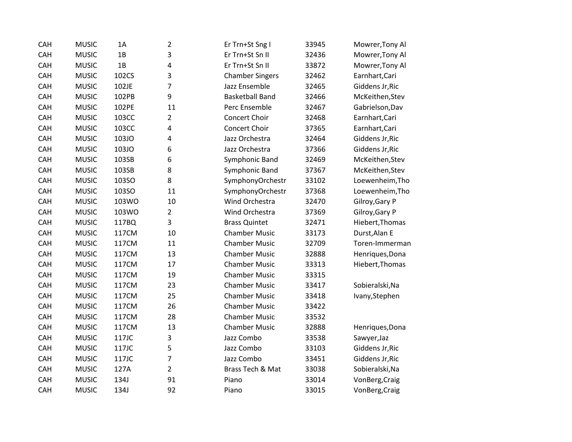| CAH | <b>MUSIC</b> | 1A    | $\overline{2}$ | Er Trn+St Sng I        | 33945 | Mowrer, Tony Al |
|-----|--------------|-------|----------------|------------------------|-------|-----------------|
| CAH | <b>MUSIC</b> | 1B    | 3              | Er Trn+St Sn II        | 32436 | Mowrer, Tony Al |
| CAH | <b>MUSIC</b> | 1B    | 4              | Er Trn+St Sn II        | 33872 | Mowrer, Tony Al |
| CAH | <b>MUSIC</b> | 102CS | 3              | <b>Chamber Singers</b> | 32462 | Earnhart, Cari  |
| CAH | <b>MUSIC</b> | 102JE | 7              | Jazz Ensemble          | 32465 | Giddens Jr, Ric |
| CAH | <b>MUSIC</b> | 102PB | 9              | <b>Basketball Band</b> | 32466 | McKeithen, Stev |
| CAH | <b>MUSIC</b> | 102PE | 11             | Perc Ensemble          | 32467 | Gabrielson, Dav |
| CAH | <b>MUSIC</b> | 103CC | $\overline{2}$ | Concert Choir          | 32468 | Earnhart, Cari  |
| CAH | <b>MUSIC</b> | 103CC | 4              | Concert Choir          | 37365 | Earnhart, Cari  |
| CAH | <b>MUSIC</b> | 103JO | 4              | Jazz Orchestra         | 32464 | Giddens Jr, Ric |
| CAH | <b>MUSIC</b> | 103JO | 6              | Jazz Orchestra         | 37366 | Giddens Jr, Ric |
| CAH | <b>MUSIC</b> | 103SB | 6              | Symphonic Band         | 32469 | McKeithen, Stev |
| CAH | <b>MUSIC</b> | 103SB | 8              | Symphonic Band         | 37367 | McKeithen, Stev |
| CAH | <b>MUSIC</b> | 103SO | 8              | SymphonyOrchestr       | 33102 | Loewenheim, Tho |
| CAH | <b>MUSIC</b> | 103SO | 11             | SymphonyOrchestr       | 37368 | Loewenheim, Tho |
| CAH | <b>MUSIC</b> | 103WO | 10             | Wind Orchestra         | 32470 | Gilroy, Gary P  |
| CAH | <b>MUSIC</b> | 103WO | $\overline{2}$ | Wind Orchestra         | 37369 | Gilroy, Gary P  |
| CAH | <b>MUSIC</b> | 117BQ | 3              | <b>Brass Quintet</b>   | 32471 | Hiebert, Thomas |
| CAH | <b>MUSIC</b> | 117CM | 10             | <b>Chamber Music</b>   | 33173 | Durst, Alan E   |
| CAH | <b>MUSIC</b> | 117CM | 11             | <b>Chamber Music</b>   | 32709 | Toren-Immerman  |
| CAH | <b>MUSIC</b> | 117CM | 13             | <b>Chamber Music</b>   | 32888 | Henriques, Dona |
| CAH | <b>MUSIC</b> | 117CM | 17             | <b>Chamber Music</b>   | 33313 | Hiebert, Thomas |
| CAH | <b>MUSIC</b> | 117CM | 19             | <b>Chamber Music</b>   | 33315 |                 |
| CAH | <b>MUSIC</b> | 117CM | 23             | <b>Chamber Music</b>   | 33417 | Sobieralski, Na |
| CAH | <b>MUSIC</b> | 117CM | 25             | <b>Chamber Music</b>   | 33418 | Ivany, Stephen  |
| CAH | <b>MUSIC</b> | 117CM | 26             | <b>Chamber Music</b>   | 33422 |                 |
| CAH | <b>MUSIC</b> | 117CM | 28             | <b>Chamber Music</b>   | 33532 |                 |
| CAH | <b>MUSIC</b> | 117CM | 13             | <b>Chamber Music</b>   | 32888 | Henriques, Dona |
| CAH | <b>MUSIC</b> | 117JC | 3              | Jazz Combo             | 33538 | Sawyer, Jaz     |
| CAH | <b>MUSIC</b> | 117JC | 5              | Jazz Combo             | 33103 | Giddens Jr, Ric |
| CAH | <b>MUSIC</b> | 117JC | $\overline{7}$ | Jazz Combo             | 33451 | Giddens Jr, Ric |
| CAH | <b>MUSIC</b> | 127A  | $\overline{2}$ | Brass Tech & Mat       | 33038 | Sobieralski, Na |
| CAH | <b>MUSIC</b> | 134J  | 91             | Piano                  | 33014 | VonBerg, Craig  |
| CAH | <b>MUSIC</b> | 134J  | 92             | Piano                  | 33015 | VonBerg, Craig  |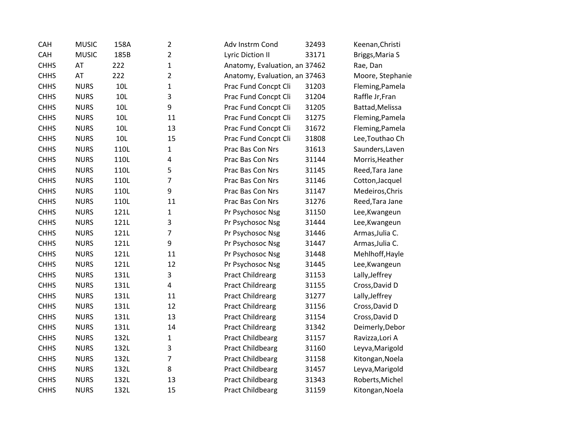| CAH         | <b>MUSIC</b> | 158A | $\overline{2}$          | Adv Instrm Cond               | 32493 | Keenan, Christi  |
|-------------|--------------|------|-------------------------|-------------------------------|-------|------------------|
| CAH         | <b>MUSIC</b> | 185B | $\overline{2}$          | Lyric Diction II              | 33171 | Briggs, Maria S  |
| <b>CHHS</b> | AT           | 222  | $\mathbf 1$             | Anatomy, Evaluation, an 37462 |       | Rae, Dan         |
| <b>CHHS</b> | AT           | 222  | $\overline{2}$          | Anatomy, Evaluation, an 37463 |       | Moore, Stephanie |
| <b>CHHS</b> | <b>NURS</b>  | 10L  | $\mathbf{1}$            | Prac Fund Concpt Cli          | 31203 | Fleming, Pamela  |
| <b>CHHS</b> | <b>NURS</b>  | 10L  | 3                       | Prac Fund Concpt Cli          | 31204 | Raffle Jr, Fran  |
| <b>CHHS</b> | <b>NURS</b>  | 10L  | 9                       | Prac Fund Concpt Cli          | 31205 | Battad, Melissa  |
| <b>CHHS</b> | <b>NURS</b>  | 10L  | 11                      | Prac Fund Concpt Cli          | 31275 | Fleming, Pamela  |
| <b>CHHS</b> | <b>NURS</b>  | 10L  | 13                      | Prac Fund Concpt Cli          | 31672 | Fleming, Pamela  |
| <b>CHHS</b> | <b>NURS</b>  | 10L  | 15                      | Prac Fund Concpt Cli          | 31808 | Lee, Touthao Ch  |
| <b>CHHS</b> | <b>NURS</b>  | 110L | $\mathbf{1}$            | Prac Bas Con Nrs              | 31613 | Saunders, Laven  |
| <b>CHHS</b> | <b>NURS</b>  | 110L | $\overline{\mathbf{4}}$ | Prac Bas Con Nrs              | 31144 | Morris, Heather  |
| <b>CHHS</b> | <b>NURS</b>  | 110L | 5                       | Prac Bas Con Nrs              | 31145 | Reed, Tara Jane  |
| <b>CHHS</b> | <b>NURS</b>  | 110L | $\overline{7}$          | Prac Bas Con Nrs              | 31146 | Cotton, Jacquel  |
| <b>CHHS</b> | <b>NURS</b>  | 110L | 9                       | Prac Bas Con Nrs              | 31147 | Medeiros, Chris  |
| <b>CHHS</b> | <b>NURS</b>  | 110L | 11                      | Prac Bas Con Nrs              | 31276 | Reed, Tara Jane  |
| <b>CHHS</b> | <b>NURS</b>  | 121L | $\mathbf{1}$            | Pr Psychosoc Nsg              | 31150 | Lee, Kwangeun    |
| <b>CHHS</b> | <b>NURS</b>  | 121L | 3                       | Pr Psychosoc Nsg              | 31444 | Lee, Kwangeun    |
| <b>CHHS</b> | <b>NURS</b>  | 121L | $\overline{7}$          | Pr Psychosoc Nsg              | 31446 | Armas, Julia C.  |
| <b>CHHS</b> | <b>NURS</b>  | 121L | 9                       | Pr Psychosoc Nsg              | 31447 | Armas, Julia C.  |
| <b>CHHS</b> | <b>NURS</b>  | 121L | 11                      | Pr Psychosoc Nsg              | 31448 | Mehlhoff, Hayle  |
| <b>CHHS</b> | <b>NURS</b>  | 121L | 12                      | Pr Psychosoc Nsg              | 31445 | Lee, Kwangeun    |
| <b>CHHS</b> | <b>NURS</b>  | 131L | 3                       | <b>Pract Childrearg</b>       | 31153 | Lally, Jeffrey   |
| <b>CHHS</b> | <b>NURS</b>  | 131L | $\overline{\mathbf{4}}$ | <b>Pract Childrearg</b>       | 31155 | Cross, David D   |
| <b>CHHS</b> | <b>NURS</b>  | 131L | 11                      | <b>Pract Childrearg</b>       | 31277 | Lally, Jeffrey   |
| <b>CHHS</b> | <b>NURS</b>  | 131L | 12                      | <b>Pract Childrearg</b>       | 31156 | Cross, David D   |
| <b>CHHS</b> | <b>NURS</b>  | 131L | 13                      | <b>Pract Childrearg</b>       | 31154 | Cross, David D   |
| <b>CHHS</b> | <b>NURS</b>  | 131L | 14                      | <b>Pract Childrearg</b>       | 31342 | Deimerly, Debor  |
| <b>CHHS</b> | <b>NURS</b>  | 132L | $\mathbf 1$             | Pract Childbearg              | 31157 | Ravizza, Lori A  |
| <b>CHHS</b> | <b>NURS</b>  | 132L | 3                       | <b>Pract Childbearg</b>       | 31160 | Leyva, Marigold  |
| <b>CHHS</b> | <b>NURS</b>  | 132L | $\overline{7}$          | <b>Pract Childbearg</b>       | 31158 | Kitongan, Noela  |
| <b>CHHS</b> | <b>NURS</b>  | 132L | 8                       | Pract Childbearg              | 31457 | Leyva, Marigold  |
| <b>CHHS</b> | <b>NURS</b>  | 132L | 13                      | <b>Pract Childbearg</b>       | 31343 | Roberts, Michel  |
| <b>CHHS</b> | <b>NURS</b>  | 132L | 15                      | <b>Pract Childbearg</b>       | 31159 | Kitongan, Noela  |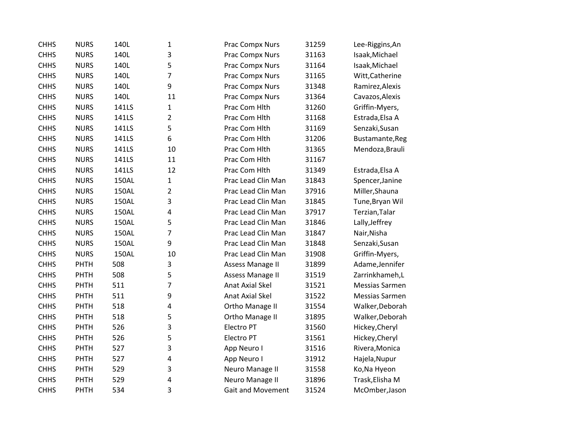| <b>CHHS</b> | <b>NURS</b> | 140L  | $\mathbf{1}$   | Prac Compx Nurs          | 31259 | Lee-Riggins, An |
|-------------|-------------|-------|----------------|--------------------------|-------|-----------------|
| <b>CHHS</b> | <b>NURS</b> | 140L  | 3              | Prac Compx Nurs          | 31163 | Isaak, Michael  |
| <b>CHHS</b> | <b>NURS</b> | 140L  | 5              | Prac Compx Nurs          | 31164 | Isaak, Michael  |
| <b>CHHS</b> | <b>NURS</b> | 140L  | 7              | Prac Compx Nurs          | 31165 | Witt, Catherine |
| <b>CHHS</b> | <b>NURS</b> | 140L  | 9              | Prac Compx Nurs          | 31348 | Ramirez, Alexis |
| <b>CHHS</b> | <b>NURS</b> | 140L  | 11             | Prac Compx Nurs          | 31364 | Cavazos, Alexis |
| <b>CHHS</b> | <b>NURS</b> | 141LS | 1              | Prac Com Hlth            | 31260 | Griffin-Myers,  |
| <b>CHHS</b> | <b>NURS</b> | 141LS | $\overline{2}$ | Prac Com Hlth            | 31168 | Estrada, Elsa A |
| <b>CHHS</b> | <b>NURS</b> | 141LS | 5              | Prac Com Hlth            | 31169 | Senzaki, Susan  |
| <b>CHHS</b> | <b>NURS</b> | 141LS | 6              | Prac Com Hlth            | 31206 | Bustamante, Reg |
| <b>CHHS</b> | <b>NURS</b> | 141LS | 10             | Prac Com Hlth            | 31365 | Mendoza, Brauli |
| <b>CHHS</b> | <b>NURS</b> | 141LS | 11             | Prac Com Hlth            | 31167 |                 |
| <b>CHHS</b> | <b>NURS</b> | 141LS | 12             | Prac Com Hlth            | 31349 | Estrada, Elsa A |
| <b>CHHS</b> | <b>NURS</b> | 150AL | $\mathbf 1$    | Prac Lead Clin Man       | 31843 | Spencer, Janine |
| <b>CHHS</b> | <b>NURS</b> | 150AL | $\overline{2}$ | Prac Lead Clin Man       | 37916 | Miller, Shauna  |
| <b>CHHS</b> | <b>NURS</b> | 150AL | 3              | Prac Lead Clin Man       | 31845 | Tune, Bryan Wil |
| <b>CHHS</b> | <b>NURS</b> | 150AL | $\pmb{4}$      | Prac Lead Clin Man       | 37917 | Terzian, Talar  |
| <b>CHHS</b> | <b>NURS</b> | 150AL | 5              | Prac Lead Clin Man       | 31846 | Lally, Jeffrey  |
| <b>CHHS</b> | <b>NURS</b> | 150AL | 7              | Prac Lead Clin Man       | 31847 | Nair, Nisha     |
| <b>CHHS</b> | <b>NURS</b> | 150AL | 9              | Prac Lead Clin Man       | 31848 | Senzaki, Susan  |
| <b>CHHS</b> | <b>NURS</b> | 150AL | 10             | Prac Lead Clin Man       | 31908 | Griffin-Myers,  |
| <b>CHHS</b> | PHTH        | 508   | 3              | <b>Assess Manage II</b>  | 31899 | Adame, Jennifer |
| <b>CHHS</b> | PHTH        | 508   | 5              | Assess Manage II         | 31519 | Zarrinkhameh,L  |
| <b>CHHS</b> | <b>PHTH</b> | 511   | 7              | <b>Anat Axial Skel</b>   | 31521 | Messias Sarmen  |
| <b>CHHS</b> | PHTH        | 511   | 9              | <b>Anat Axial Skel</b>   | 31522 | Messias Sarmen  |
| <b>CHHS</b> | <b>PHTH</b> | 518   | $\pmb{4}$      | Ortho Manage II          | 31554 | Walker, Deborah |
| <b>CHHS</b> | PHTH        | 518   | 5              | Ortho Manage II          | 31895 | Walker, Deborah |
| <b>CHHS</b> | PHTH        | 526   | 3              | Electro PT               | 31560 | Hickey, Cheryl  |
| <b>CHHS</b> | PHTH        | 526   | 5              | Electro PT               | 31561 | Hickey, Cheryl  |
| <b>CHHS</b> | PHTH        | 527   | 3              | App Neuro I              | 31516 | Rivera, Monica  |
| <b>CHHS</b> | PHTH        | 527   | $\pmb{4}$      | App Neuro I              | 31912 | Hajela, Nupur   |
| <b>CHHS</b> | PHTH        | 529   | 3              | Neuro Manage II          | 31558 | Ko, Na Hyeon    |
| <b>CHHS</b> | PHTH        | 529   | $\overline{4}$ | Neuro Manage II          | 31896 | Trask, Elisha M |
| <b>CHHS</b> | <b>PHTH</b> | 534   | 3              | <b>Gait and Movement</b> | 31524 | McOmber, Jason  |